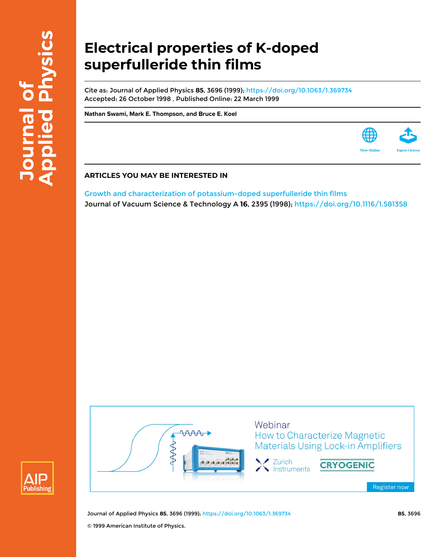# **Electrical properties of K-doped superfulleride thin films**

Cite as: Journal of Applied Physics **85**, 3696 (1999); <https://doi.org/10.1063/1.369734> Accepted: 26 October 1998 . Published Online: 22 March 1999

**[Nathan Swami](https://aip.scitation.org/author/Swami%2C+Nathan), [Mark E. Thompson,](https://aip.scitation.org/author/Thompson%2C+Mark+E) and [Bruce E. Koel](https://aip.scitation.org/author/Koel%2C+Bruce+E)**

## **ARTICLES YOU MAY BE INTERESTED IN**

[Growth and characterization of potassium-doped superfulleride thin films](https://aip.scitation.org/doi/10.1116/1.581358) Journal of Vacuum Science & Technology A **16**, 2395 (1998); <https://doi.org/10.1116/1.581358>





Journal of Applied Physics **85**, 3696 (1999); <https://doi.org/10.1063/1.369734> **85**, 3696 © 1999 American Institute of Physics.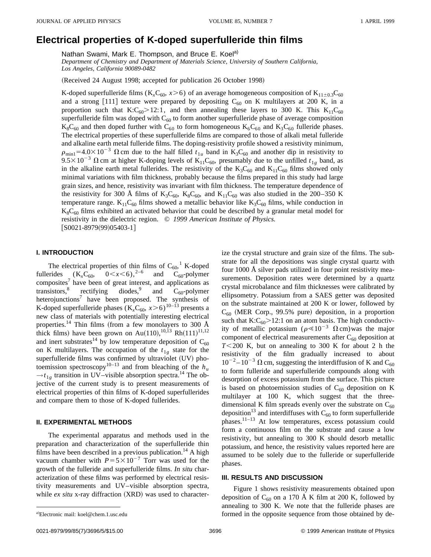# **Electrical properties of K-doped superfulleride thin films**

Nathan Swami, Mark E. Thompson, and Bruce E. Koel<sup>a)</sup>

*Department of Chemistry and Department of Materials Science, University of Southern California, Los Angeles, California 90089-0482*

(Received 24 August 1998; accepted for publication 26 October 1998)

K-doped superfulleride films ( $K_xC_{60}$ ,  $x>6$ ) of an average homogeneous composition of  $K_{11\pm0.3}C_{60}$ and a strong [111] texture were prepared by depositing  $C_{60}$  on K multilayers at 200 K, in a proportion such that  $K: C_{60} > 12:1$ , and then annealing these layers to 300 K. This  $K_{11}C_{60}$ superfulleride film was doped with  $C_{60}$  to form another superfulleride phase of average composition  $K_8C_{60}$  and then doped further with  $C_{60}$  to form homogeneous  $K_6C_{60}$  and  $K_3C_{60}$  fulleride phases. The electrical properties of these superfulleride films are compared to those of alkali metal fulleride and alkaline earth metal fulleride films. The doping-resistivity profile showed a resistivity minimum,  $\rho_{\rm min1}$ =4.0×10<sup>-3</sup>  $\Omega$  cm due to the half filled  $t_{1u}$  band in K<sub>3</sub>C<sub>60</sub> and another dip in resistivity to  $9.5 \times 10^{-3}$   $\Omega$  cm at higher K-doping levels of K<sub>11</sub>C<sub>60</sub>, presumably due to the unfilled  $t_{1g}$  band, as in the alkaline earth metal fullerides. The resistivity of the  $K_3C_{60}$  and  $K_{11}C_{60}$  films showed only minimal variations with film thickness, probably because the films prepared in this study had large grain sizes, and hence, resistivity was invariant with film thickness. The temperature dependence of the resistivity for 300 Å films of  $K_3C_{60}$ ,  $K_8C_{60}$ , and  $K_{11}C_{60}$  was also studied in the 200–350 K temperature range.  $K_{11}C_{60}$  films showed a metallic behavior like  $K_{3}C_{60}$  films, while conduction in  $K_8C_{60}$  films exhibited an activated behavior that could be described by a granular metal model for resistivity in the dielectric region. © *1999 American Institute of Physics.*  $[50021-8979(99)05403-1]$ 

#### **I. INTRODUCTION**

The electrical properties of thin films of  $C_{60}$ , K-doped fullerides  $(K_xC_{60}, \quad 0 < x < 6),^{2-6}$  and  $C_{60}$ -polymer  $composites<sup>7</sup>$  have been of great interest, and applications as transistors,<sup>8</sup> rectifying diodes,<sup>9</sup> and  $C_{60}$ -polymer heterojunctions<sup>7</sup> have been proposed. The synthesis of K-doped superfulleride phases  $(K_x C_{60}, x>6)^{10-\tilde{13}}$  presents a new class of materials with potentially interesting electrical properties.<sup>14</sup> Thin films (from a few monolayers to 300 Å thick films) have been grown on Au(110),  $^{10,13}$  Rh $(111)^{11,12}$ and inert substrates<sup>14</sup> by low temperature deposition of  $C_{60}$ on K multilayers. The occupation of the  $t_{1g}$  state for the superfulleride films was confirmed by ultraviolet (UV) photoemission spectroscopy<sup>10–13</sup> and from bleaching of the  $h_u$  $\rightarrow t_{1g}$  transition in UV–visible absorption spectra.<sup>14</sup> The objective of the current study is to present measurements of electrical properties of thin films of K-doped superfullerides and compare them to those of K-doped fullerides.

#### **II. EXPERIMENTAL METHODS**

The experimental apparatus and methods used in the preparation and characterization of the superfulleride thin films have been described in a previous publication.<sup>14</sup> A high vacuum chamber with  $P=5\times10^{-7}$  Torr was used for the growth of the fulleride and superfulleride films. *In situ* characterization of these films was performed by electrical resistivity measurements and UV–visible absorption spectra, while *ex situ* x-ray diffraction (XRD) was used to characterize the crystal structure and grain size of the films. The substrate for all the depositions was single crystal quartz with four 1000 Å silver pads utilized in four point resistivity measurements. Deposition rates were determined by a quartz crystal microbalance and film thicknesses were calibrated by ellipsometry. Potassium from a SAES getter was deposited on the substrate maintained at 200 K or lower, followed by  $C_{60}$  (MER Corp., 99.5% pure) deposition, in a proportion such that  $K:C_{60} > 12:1$  on an atom basis. The high conductivity of metallic potassium ( $\rho \ll 10^{-3} \Omega$  cm)was the major component of electrical measurements after  $C_{60}$  deposition at  $T$ <200 K, but on annealing to 300 K for about 2 h the resistivity of the film gradually increased to about  $10^{-2} - 10^{-3}$   $\Omega$  cm, suggesting the interdiffusion of K and C<sub>60</sub> to form fulleride and superfulleride compounds along with desorption of excess potassium from the surface. This picture is based on photoemission studies of  $C_{60}$  deposition on K multilayer at 100 K, which suggest that the threedimensional K film spreads evenly over the substrate on  $C_{60}$ deposition<sup>13</sup> and interdiffuses with  $C_{60}$  to form superfulleride phases.11–13 At low temperatures, excess potassium could form a continuous film on the substrate and cause a low resistivity, but annealing to 300 K should desorb metallic potassium, and hence, the resistivity values reported here are assumed to be solely due to the fulleride or superfulleride phases.

## **III. RESULTS AND DISCUSSION**

Figure 1 shows resistivity measurements obtained upon deposition of  $C_{60}$  on a 170 Å K film at 200 K, followed by annealing to 300 K. We note that the fulleride phases are formed in the opposite sequence from those obtained by de-

Electronic mail: koel@chem.1.usc.edu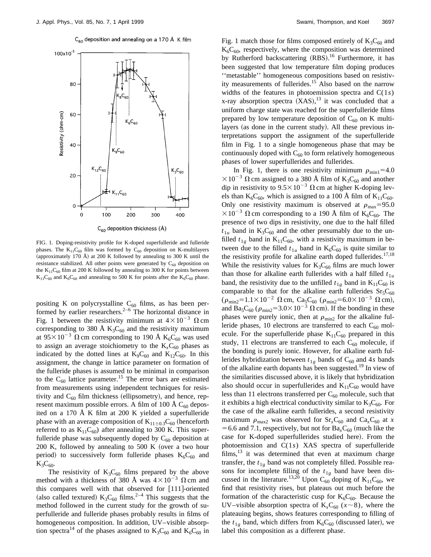

 $C_{60}$  deposition and annealing on a 170 Å K film

FIG. 1. Doping-resistivity profile for K-doped superfulleride and fulleride phases. The  $K_{11}C_{60}$  film was formed by  $C_{60}$  deposition on K-multilayers (approximately 170 Å) at 200 K followed by annealing to 300 K until the resistance stabilized. All other points were generated by  $C_{60}$  deposition on the  $K_{11}C_{60}$  film at 200 K followed by annealing to 300 K for points between  $K_{11}C_{60}$  and  $K_{6}C_{60}$  and annealing to 500 K for points after the  $K_{6}C_{60}$  phase.

positing K on polycrystalline  $C_{60}$  films, as has been performed by earlier researchers. $2-6$  The horizontal distance in Fig. 1 between the resistivity minimum at  $4 \times 10^{-3}$   $\Omega$  cm corresponding to 380 Å  $K_3C_{60}$  and the resistivity maximum at  $95\times10^{-3}$   $\Omega$  cm corresponding to 190 Å K<sub>6</sub>C<sub>60</sub> was used to assign an average stoichiometry to the  $K<sub>x</sub>C<sub>60</sub>$  phases as indicated by the dotted lines at  $K_9C_{60}$  and  $K_{12}C_{60}$ . In this assignment, the change in lattice parameter on formation of the fulleride phases is assumed to be minimal in comparison to the  $C_{60}$  lattice parameter.<sup>15</sup> The error bars are estimated from measurements using independent techniques for resistivity and  $C_{60}$  film thickness (ellipsometry), and hence, represent maximum possible errors. A film of 100 Å  $C_{60}$  deposited on a 170 Å K film at 200 K yielded a superfulleride phase with an average composition of  $K_{11\pm0.3}C_{60}$  (henceforth referred to as  $K_{11}C_{60}$  after annealing to 300 K. This superfulleride phase was subsequently doped by  $C_{60}$  deposition at 200 K, followed by annealing to  $500$  K (over a two hour period) to successively form fulleride phases  $K_6C_{60}$  and  $K_3C_{60}$ .

The resistivity of  $K_3C_{60}$  films prepared by the above method with a thickness of 380 Å was  $4\times10^{-3}$   $\Omega$  cm and this compares well with that observed for  $[111]$ -oriented (also called textured)  $K_3C_{60}$  films.<sup>2–4</sup> This suggests that the method followed in the current study for the growth of superfulleride and fulleride phases probably results in films of homogeneous composition. In addition, UV–visible absorption spectra<sup>14</sup> of the phases assigned to  $K_3C_{60}$  and  $K_6C_{60}$  in Fig. 1 match those for films composed entirely of  $K_3C_{60}$  and  $K_6C_{60}$ , respectively, where the composition was determined by Rutherford backscattering (RBS).<sup>16</sup> Furthermore, it has been suggested that low temperature film doping produces ''metastable'' homogeneous compositions based on resistivity measurements of fullerides.<sup>15</sup> Also based on the narrow widths of the features in photoemission spectra and C(1*s*) x-ray absorption spectra  $(XAS)$ , <sup>13</sup> it was concluded that a uniform charge state was reached for the superfulleride films prepared by low temperature deposition of  $C_{60}$  on K multilayers (as done in the current study). All these previous interpretations support the assignment of the superfulleride film in Fig. 1 to a single homogeneous phase that may be continuously doped with  $C_{60}$  to form relatively homogeneous phases of lower superfullerides and fullerides.

In Fig. 1, there is one resistivity minimum  $\rho_{min1}$ =4.0  $\times 10^{-3}$   $\Omega$  cm assigned to a 380 Å film of K<sub>3</sub>C<sub>60</sub> and another dip in resistivity to  $9.5 \times 10^{-3}$   $\Omega$  cm at higher K-doping levels than  $K_6C_{60}$ , which is assigned to a 100 Å film of  $K_{11}C_{60}$ . Only one resistivity maximum is observed at  $\rho_{\text{max}}=95.0$  $\times 10^{-3}$   $\Omega$  cm corresponding to a 190 Å film of K<sub>6</sub>C<sub>60</sub>. The presence of two dips in resistivity, one due to the half filled  $t_{1u}$  band in  $K_3C_{60}$  and the other presumably due to the unfilled  $t_{1g}$  band in  $K_{11}C_{60}$ , with a resistivity maximum in between due to the filled  $t_{1u}$  band in  $K_6C_{60}$  is quite similar to the resistivity profile for alkaline earth doped fullerides.<sup>17,18</sup> While the resistivity values for  $K_3C_{60}$  films are much lower than those for alkaline earth fullerides with a half filled  $t_{1u}$ band, the resistivity due to the unfilled  $t_{1g}$  band in  $K_{11}C_{60}$  is comparable to that for the alkaline earth fullerides  $Sr<sub>5</sub>C<sub>60</sub>$  $(\rho_{\rm min2} = 1.1 \times 10^{-2} \Omega \text{ cm}, \text{Ca}_5\text{C}_{60} (\rho_{\rm min2} = 6.0 \times 10^{-3} \Omega \text{ cm}),$ and Ba<sub>5</sub>C<sub>60</sub> ( $\rho_{\text{min2}}$ =3.0×10<sup>-3</sup>  $\Omega$  cm). If the bonding in these phases were purely ionic, then at  $\rho_{\rm min2}$  for the alkaline fulleride phases, 10 electrons are transferred to each  $C_{60}$  molecule. For the superfulleride phase  $K_{11}C_{60}$  prepared in this study, 11 electrons are transferred to each  $C_{60}$  molecule, if the bonding is purely ionic. However, for alkaline earth fullerides hybridization between  $t_{1g}$  bands of  $C_{60}$  and 4*s* bands of the alkaline earth dopants has been suggested.<sup>19</sup> In view of the similarities discussed above, it is likely that hybridization also should occur in superfullerides and  $K_{11}C_{60}$  would have less than 11 electrons transferred per  $C_{60}$  molecule, such that it exhibits a high electrical conductivity similar to  $K_3C_{60}$ . For the case of the alkaline earth fullerides, a second resistivity maximum  $\rho_{\text{max2}}$  was observed for  $\text{Sr}_x\text{C}_{60}$  and  $\text{Ca}_x\text{C}_{60}$  at *x*  $=6.6$  and 7.1, respectively, but not for  $Ba<sub>x</sub>C<sub>60</sub>$  (much like the case for K-doped superfullerides studied here). From the photoemission and C(1*s*) XAS spectra of superfulleride films, $13$  it was determined that even at maximum charge transfer, the  $t_{1g}$  band was not completely filled. Possible reasons for incomplete filling of the  $t_{1g}$  band have been discussed in the literature.<sup>13,20</sup> Upon C<sub>60</sub> doping of  $K_{11}C_{60}$ , we find that resistivity rises, but plateaus out much before the formation of the characteristic cusp for  $K_6C_{60}$ . Because the UV–visible absorption spectra of  $K<sub>x</sub>C<sub>60</sub>$  ( $x \sim 8$ ), where the plateauing begins, shows features corresponding to filling of the  $t_{1g}$  band, which differs from  $K_6C_{60}$  (discussed later), we label this composition as a different phase.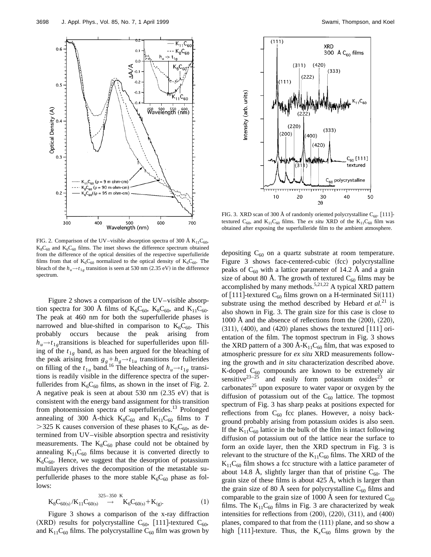

Figure 2 shows a comparison of the UV–visible absorption spectra for 300 Å films of  $K_6C_{60}$ ,  $K_8C_{60}$ , and  $K_{11}C_{60}$ . The peak at 460 nm for both the superfulleride phases is narrowed and blue-shifted in comparison to  $K_6C_{60}$ . This probably occurs because the peak arising from  $h_u \rightarrow t_{1g}$  transitions is bleached for superfullerides upon filling of the  $t_{1g}$  band, as has been argued for the bleaching of the peak arising from  $g_g + h_g \rightarrow t_{1u}$  transitions for fullerides on filling of the  $t_{1u}$  band.<sup>16</sup> The bleaching of  $h_u \rightarrow t_{1g}$  transitions is readily visible in the difference spectra of the superfullerides from  $K_6C_{60}$  films, as shown in the inset of Fig. 2. A negative peak is seen at about  $530$  nm  $(2.35 \text{ eV})$  that is consistent with the energy band assignment for this transition from photoemission spectra of superfullerides.<sup>13</sup> Prolonged annealing of 300 Å-thick  $K_8C_{60}$  and  $K_{11}C_{60}$  films to *T*  $>$ 325 K causes conversion of these phases to K<sub>6</sub>C<sub>60</sub>, as determined from UV–visible absorption spectra and resistivity measurements. The  $K_8C_{60}$  phase could not be obtained by annealing  $K_{11}C_{60}$  films because it is converted directly to  $K_6C_{60}$ . Hence, we suggest that the desorption of potassium multilayers drives the decomposition of the metastable superfulleride phases to the more stable  $K_6C_{60}$  phase as follows:

$$
K_{8}C_{60(s)}/K_{11}C_{60(s)} \xrightarrow{325-350 \text{ K}} K_{6}C_{60(s)}+K_{(g)}.
$$
 (1)

Figure 3 shows a comparison of the x-ray diffraction (XRD) results for polycrystalline C<sub>60</sub>, [111]-textured C<sub>60</sub>, and  $K_{11}C_{60}$  films. The polycrystalline  $C_{60}$  film was grown by

FIG. 3. XRD scan of 300 Å of randomly oriented polycrystalline  $C_{60}$ . [111]textured  $C_{60}$ , and  $K_{11}C_{60}$  films. The *ex situ* XRD of the  $K_{11}C_{60}$  film was obtained after exposing the superfulleride film to the ambient atmosphere.

depositing  $C_{60}$  on a quartz substrate at room temperature. Figure 3 shows face-centered-cubic (fcc) polycrystalline peaks of  $C_{60}$  with a lattice parameter of 14.2 Å and a grain size of about 80 Å. The growth of textured  $C_{60}$  films may be accomplished by many methods.<sup>5,21,22</sup> A typical XRD pattern of [111]-textured  $C_{60}$  films grown on a H-terminated Si(111) substrate using the method described by Hebard  $et al.<sup>21</sup>$  is also shown in Fig. 3. The grain size for this case is close to 1000 Å and the absence of reflections from the  $(200)$ ,  $(220)$ ,  $(311)$ ,  $(400)$ , and  $(420)$  planes shows the textured  $[111]$  orientation of the film. The topmost spectrum in Fig. 3 shows the XRD pattern of a 300 Å- $K_{11}C_{60}$  film, that was exposed to atmospheric pressure for *ex situ* XRD measurements following the growth and *in situ* characterization described above. K-doped  $C_{60}$  compounds are known to be extremely air sensitive<sup>23–25</sup> and easily form potassium oxides<sup>23</sup> or carbonates $^{25}$  upon exposure to water vapor or oxygen by the diffusion of potassium out of the  $C_{60}$  lattice. The topmost spectrum of Fig. 3 has sharp peaks at positions expected for reflections from  $C_{60}$  fcc planes. However, a noisy background probably arising from potassium oxides is also seen. If the  $K_{11}C_{60}$  lattice in the bulk of the film is intact following diffusion of potassium out of the lattice near the surface to form an oxide layer, then the XRD spectrum in Fig. 3 is relevant to the structure of the  $K_{11}C_{60}$  films. The XRD of the  $K_{11}C_{60}$  film shows a fcc structure with a lattice parameter of about 14.8 Å, slightly larger than that of pristine  $C_{60}$ . The grain size of these films is about 425 Å, which is larger than the grain size of 80 Å seen for polycrystalline  $C_{60}$  films and comparable to the grain size of 1000 Å seen for textured  $C_{60}$ films. The  $K_{11}C_{60}$  films in Fig. 3 are characterized by weak intensities for reflections from  $(200)$ ,  $(220)$ ,  $(311)$ , and  $(400)$ planes, compared to that from the  $(111)$  plane, and so show a high [111]-texture. Thus, the  $K_xC_{60}$  films grown by the



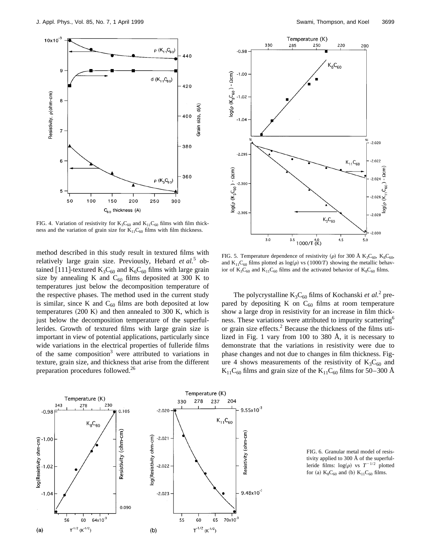

FIG. 4. Variation of resistivity for  $K_3C_{60}$  and  $K_{11}C_{60}$  films with film thickness and the variation of grain size for  $K_{11}C_{60}$  films with film thickness.

method described in this study result in textured films with relatively large grain size. Previously, Hebard *et al.*<sup>5</sup> obtained [111]-textured  $K_3C_{60}$  and  $K_6C_{60}$  films with large grain size by annealing K and  $C_{60}$  films deposited at 300 K to temperatures just below the decomposition temperature of the respective phases. The method used in the current study is similar, since K and  $C_{60}$  films are both deposited at low temperatures  $(200 \text{ K})$  and then annealed to 300 K, which is just below the decomposition temperature of the superfullerides. Growth of textured films with large grain size is important in view of potential applications, particularly since wide variations in the electrical properties of fulleride films of the same composition<sup>3</sup> were attributed to variations in texture, grain size, and thickness that arise from the different preparation procedures followed.26



FIG. 5. Temperature dependence of resistivity ( $\rho$ ) for 300 Å K<sub>3</sub>C<sub>60</sub>, K<sub>8</sub>C<sub>60</sub>, and K<sub>11</sub>C<sub>60</sub> films plotted as  $log(\rho)$  vs (1000/*T*) showing the metallic behavior of  $K_3C_{60}$  and  $K_{11}C_{60}$  films and the activated behavior of  $K_8C_{60}$  films.

The polycrystalline  $K_3C_{60}$  films of Kochanski *et al.*<sup>2</sup> prepared by depositing K on  $C_{60}$  films at room temperature show a large drop in resistivity for an increase in film thickness. These variations were attributed to impurity scattering<sup>6</sup> or grain size effects. $^{2}$  Because the thickness of the films utilized in Fig. 1 vary from 100 to 380 Å, it is necessary to demonstrate that the variations in resistivity were due to phase changes and not due to changes in film thickness. Figure 4 shows measurements of the resistivity of  $K_3C_{60}$  and  $K_{11}C_{60}$  films and grain size of the  $K_{11}C_{60}$  films for 50–300 Å



FIG. 6. Granular metal model of resistivity applied to 300 Å of the superfulleride films:  $log(\rho)$  vs  $T^{-1/2}$  plotted for (a)  $K_8C_{60}$  and (b)  $K_{11}C_{60}$  films.